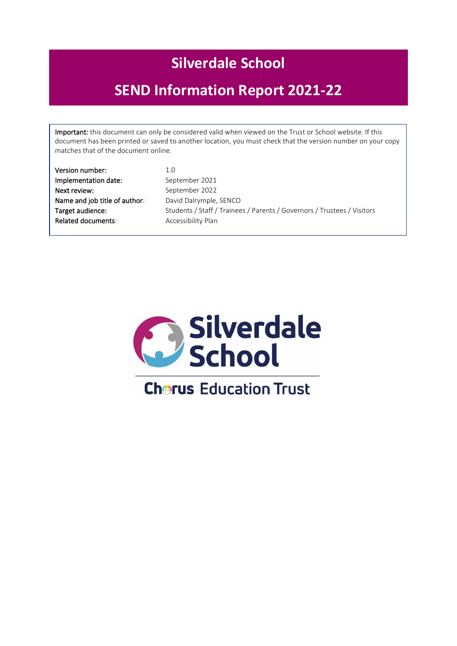# **Silverdale School**

# **SEND Information Report 2021-22**

Important: this document can only be considered valid when viewed on the Trust or School website. If this document has been printed or saved to another location, you must check that the version number on your copy matches that of the document online.

| Version number:               | 1.0                                                                     |
|-------------------------------|-------------------------------------------------------------------------|
| Implementation date:          | September 2021                                                          |
| Next review:                  | September 2022                                                          |
| Name and job title of author: | David Dalrymple, SENCO                                                  |
| Target audience:              | Students / Staff / Trainees / Parents / Governors / Trustees / Visitors |
| <b>Related documents:</b>     | Accessibility Plan                                                      |

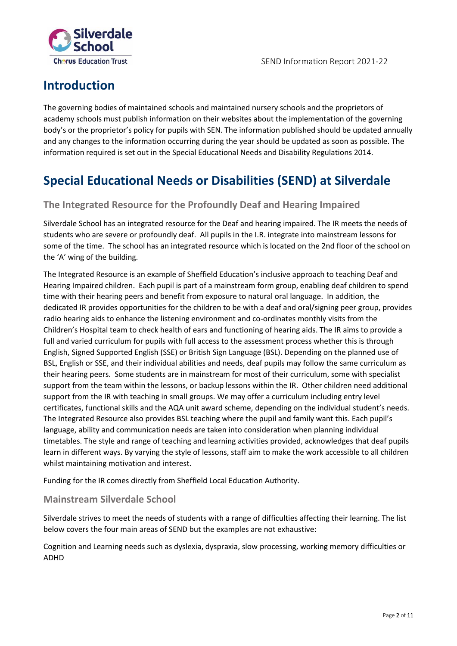

### **Introduction**

The governing bodies of maintained schools and maintained nursery schools and the proprietors of academy schools must publish information on their websites about the implementation of the governing body's or the proprietor's policy for pupils with SEN. The information published should be updated annually and any changes to the information occurring during the year should be updated as soon as possible. The information required is set out in the Special Educational Needs and Disability Regulations 2014.

### **Special Educational Needs or Disabilities (SEND) at Silverdale**

### **The Integrated Resource for the Profoundly Deaf and Hearing Impaired**

Silverdale School has an integrated resource for the Deaf and hearing impaired. The IR meets the needs of students who are severe or profoundly deaf. All pupils in the I.R. integrate into mainstream lessons for some of the time. The school has an integrated resource which is located on the 2nd floor of the school on the 'A' wing of the building.

The Integrated Resource is an example of Sheffield Education's inclusive approach to teaching Deaf and Hearing Impaired children. Each pupil is part of a mainstream form group, enabling deaf children to spend time with their hearing peers and benefit from exposure to natural oral language. In addition, the dedicated IR provides opportunities for the children to be with a deaf and oral/signing peer group, provides radio hearing aids to enhance the listening environment and co-ordinates monthly visits from the Children's Hospital team to check health of ears and functioning of hearing aids. The IR aims to provide a full and varied curriculum for pupils with full access to the assessment process whether this is through English, Signed Supported English (SSE) or British Sign Language (BSL). Depending on the planned use of BSL, English or SSE, and their individual abilities and needs, deaf pupils may follow the same curriculum as their hearing peers. Some students are in mainstream for most of their curriculum, some with specialist support from the team within the lessons, or backup lessons within the IR. Other children need additional support from the IR with teaching in small groups. We may offer a curriculum including entry level certificates, functional skills and the AQA unit award scheme, depending on the individual student's needs. The Integrated Resource also provides BSL teaching where the pupil and family want this. Each pupil's language, ability and communication needs are taken into consideration when planning individual timetables. The style and range of teaching and learning activities provided, acknowledges that deaf pupils learn in different ways. By varying the style of lessons, staff aim to make the work accessible to all children whilst maintaining motivation and interest.

Funding for the IR comes directly from Sheffield Local Education Authority.

### **Mainstream Silverdale School**

Silverdale strives to meet the needs of students with a range of difficulties affecting their learning. The list below covers the four main areas of SEND but the examples are not exhaustive:

Cognition and Learning needs such as dyslexia, dyspraxia, slow processing, working memory difficulties or ADHD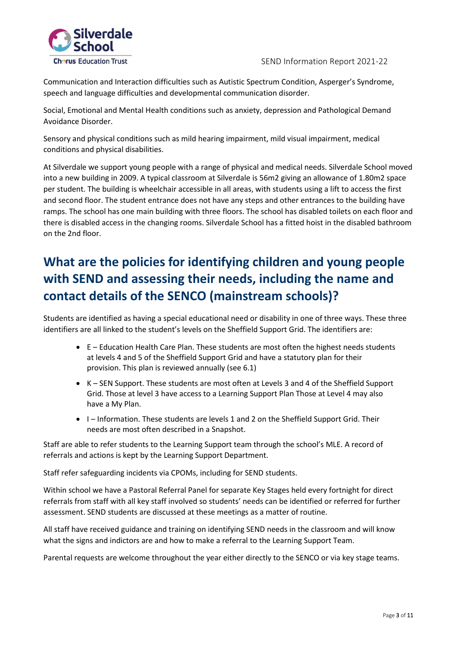

Communication and Interaction difficulties such as Autistic Spectrum Condition, Asperger's Syndrome, speech and language difficulties and developmental communication disorder.

Social, Emotional and Mental Health conditions such as anxiety, depression and Pathological Demand Avoidance Disorder.

Sensory and physical conditions such as mild hearing impairment, mild visual impairment, medical conditions and physical disabilities.

At Silverdale we support young people with a range of physical and medical needs. Silverdale School moved into a new building in 2009. A typical classroom at Silverdale is 56m2 giving an allowance of 1.80m2 space per student. The building is wheelchair accessible in all areas, with students using a lift to access the first and second floor. The student entrance does not have any steps and other entrances to the building have ramps. The school has one main building with three floors. The school has disabled toilets on each floor and there is disabled access in the changing rooms. Silverdale School has a fitted hoist in the disabled bathroom on the 2nd floor.

## **What are the policies for identifying children and young people with SEND and assessing their needs, including the name and contact details of the SENCO (mainstream schools)?**

Students are identified as having a special educational need or disability in one of three ways. These three identifiers are all linked to the student's levels on the Sheffield Support Grid. The identifiers are:

- E Education Health Care Plan. These students are most often the highest needs students at levels 4 and 5 of the Sheffield Support Grid and have a statutory plan for their provision. This plan is reviewed annually (see 6.1)
- K SEN Support. These students are most often at Levels 3 and 4 of the Sheffield Support Grid. Those at level 3 have access to a Learning Support Plan Those at Level 4 may also have a My Plan.
- I Information. These students are levels 1 and 2 on the Sheffield Support Grid. Their needs are most often described in a Snapshot.

Staff are able to refer students to the Learning Support team through the school's MLE. A record of referrals and actions is kept by the Learning Support Department.

Staff refer safeguarding incidents via CPOMs, including for SEND students.

Within school we have a Pastoral Referral Panel for separate Key Stages held every fortnight for direct referrals from staff with all key staff involved so students' needs can be identified or referred for further assessment. SEND students are discussed at these meetings as a matter of routine.

All staff have received guidance and training on identifying SEND needs in the classroom and will know what the signs and indictors are and how to make a referral to the Learning Support Team.

Parental requests are welcome throughout the year either directly to the SENCO or via key stage teams.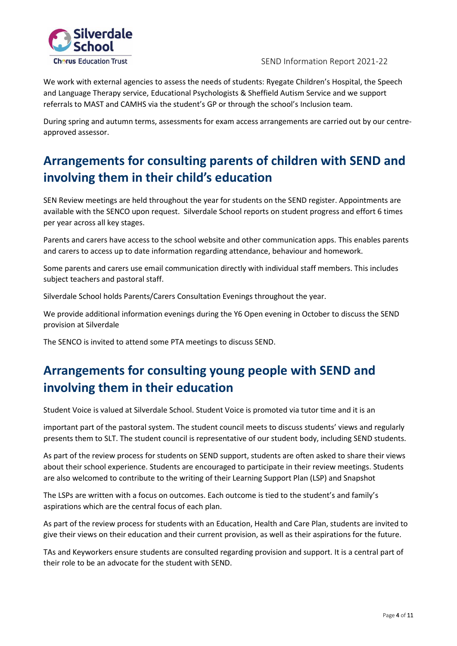

We work with external agencies to assess the needs of students: Ryegate Children's Hospital, the Speech and Language Therapy service, Educational Psychologists & Sheffield Autism Service and we support referrals to MAST and CAMHS via the student's GP or through the school's Inclusion team.

During spring and autumn terms, assessments for exam access arrangements are carried out by our centreapproved assessor.

## **Arrangements for consulting parents of children with SEND and involving them in their child's education**

SEN Review meetings are held throughout the year for students on the SEND register. Appointments are available with the SENCO upon request. Silverdale School reports on student progress and effort 6 times per year across all key stages.

Parents and carers have access to the school website and other communication apps. This enables parents and carers to access up to date information regarding attendance, behaviour and homework.

Some parents and carers use email communication directly with individual staff members. This includes subject teachers and pastoral staff.

Silverdale School holds Parents/Carers Consultation Evenings throughout the year.

We provide additional information evenings during the Y6 Open evening in October to discuss the SEND provision at Silverdale

The SENCO is invited to attend some PTA meetings to discuss SEND.

## **Arrangements for consulting young people with SEND and involving them in their education**

Student Voice is valued at Silverdale School. Student Voice is promoted via tutor time and it is an

important part of the pastoral system. The student council meets to discuss students' views and regularly presents them to SLT. The student council is representative of our student body, including SEND students.

As part of the review process for students on SEND support, students are often asked to share their views about their school experience. Students are encouraged to participate in their review meetings. Students are also welcomed to contribute to the writing of their Learning Support Plan (LSP) and Snapshot

The LSPs are written with a focus on outcomes. Each outcome is tied to the student's and family's aspirations which are the central focus of each plan.

As part of the review process for students with an Education, Health and Care Plan, students are invited to give their views on their education and their current provision, as well as their aspirations for the future.

TAs and Keyworkers ensure students are consulted regarding provision and support. It is a central part of their role to be an advocate for the student with SEND.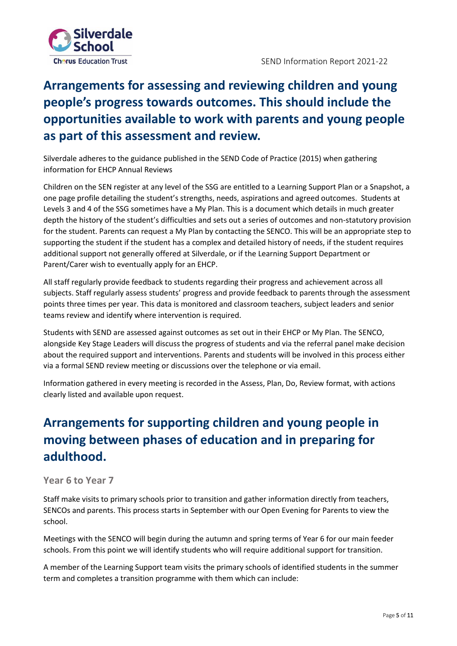

## **Arrangements for assessing and reviewing children and young people's progress towards outcomes. This should include the opportunities available to work with parents and young people as part of this assessment and review.**

Silverdale adheres to the guidance published in the SEND Code of Practice (2015) when gathering information for EHCP Annual Reviews

Children on the SEN register at any level of the SSG are entitled to a Learning Support Plan or a Snapshot, a one page profile detailing the student's strengths, needs, aspirations and agreed outcomes. Students at Levels 3 and 4 of the SSG sometimes have a My Plan. This is a document which details in much greater depth the history of the student's difficulties and sets out a series of outcomes and non-statutory provision for the student. Parents can request a My Plan by contacting the SENCO. This will be an appropriate step to supporting the student if the student has a complex and detailed history of needs, if the student requires additional support not generally offered at Silverdale, or if the Learning Support Department or Parent/Carer wish to eventually apply for an EHCP.

All staff regularly provide feedback to students regarding their progress and achievement across all subjects. Staff regularly assess students' progress and provide feedback to parents through the assessment points three times per year. This data is monitored and classroom teachers, subject leaders and senior teams review and identify where intervention is required.

Students with SEND are assessed against outcomes as set out in their EHCP or My Plan. The SENCO, alongside Key Stage Leaders will discuss the progress of students and via the referral panel make decision about the required support and interventions. Parents and students will be involved in this process either via a formal SEND review meeting or discussions over the telephone or via email.

Information gathered in every meeting is recorded in the Assess, Plan, Do, Review format, with actions clearly listed and available upon request.

## **Arrangements for supporting children and young people in moving between phases of education and in preparing for adulthood.**

### **Year 6 to Year 7**

Staff make visits to primary schools prior to transition and gather information directly from teachers, SENCOs and parents. This process starts in September with our Open Evening for Parents to view the school.

Meetings with the SENCO will begin during the autumn and spring terms of Year 6 for our main feeder schools. From this point we will identify students who will require additional support for transition.

A member of the Learning Support team visits the primary schools of identified students in the summer term and completes a transition programme with them which can include: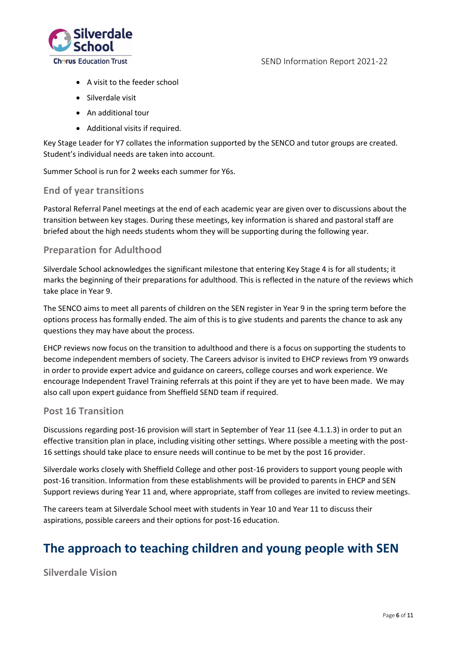

- A visit to the feeder school
- Silverdale visit
- An additional tour
- Additional visits if required.

Key Stage Leader for Y7 collates the information supported by the SENCO and tutor groups are created. Student's individual needs are taken into account.

Summer School is run for 2 weeks each summer for Y6s.

### **End of year transitions**

Pastoral Referral Panel meetings at the end of each academic year are given over to discussions about the transition between key stages. During these meetings, key information is shared and pastoral staff are briefed about the high needs students whom they will be supporting during the following year.

### **Preparation for Adulthood**

Silverdale School acknowledges the significant milestone that entering Key Stage 4 is for all students; it marks the beginning of their preparations for adulthood. This is reflected in the nature of the reviews which take place in Year 9.

The SENCO aims to meet all parents of children on the SEN register in Year 9 in the spring term before the options process has formally ended. The aim of this is to give students and parents the chance to ask any questions they may have about the process.

EHCP reviews now focus on the transition to adulthood and there is a focus on supporting the students to become independent members of society. The Careers advisor is invited to EHCP reviews from Y9 onwards in order to provide expert advice and guidance on careers, college courses and work experience. We encourage Independent Travel Training referrals at this point if they are yet to have been made. We may also call upon expert guidance from Sheffield SEND team if required.

### **Post 16 Transition**

Discussions regarding post-16 provision will start in September of Year 11 (see 4.1.1.3) in order to put an effective transition plan in place, including visiting other settings. Where possible a meeting with the post-16 settings should take place to ensure needs will continue to be met by the post 16 provider.

Silverdale works closely with Sheffield College and other post-16 providers to support young people with post-16 transition. Information from these establishments will be provided to parents in EHCP and SEN Support reviews during Year 11 and, where appropriate, staff from colleges are invited to review meetings.

The careers team at Silverdale School meet with students in Year 10 and Year 11 to discuss their aspirations, possible careers and their options for post-16 education.

### **The approach to teaching children and young people with SEN**

**Silverdale Vision**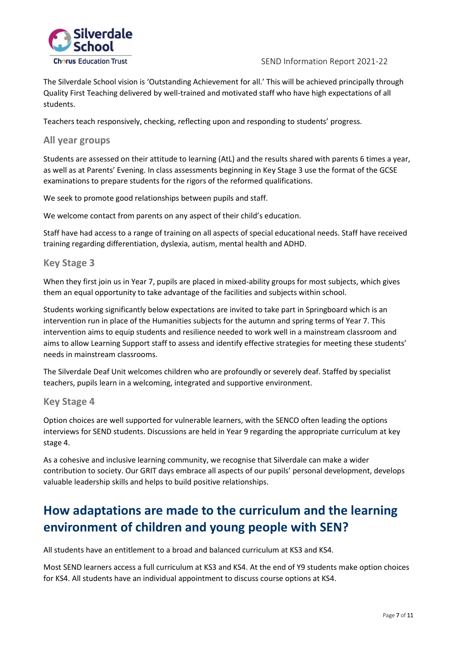

The Silverdale School vision is 'Outstanding Achievement for all.' This will be achieved principally through Quality First Teaching delivered by well-trained and motivated staff who have high expectations of all students.

Teachers teach responsively, checking, reflecting upon and responding to students' progress.

#### **All year groups**

Students are assessed on their attitude to learning (AtL) and the results shared with parents 6 times a year, as well as at Parents' Evening. In class assessments beginning in Key Stage 3 use the format of the GCSE examinations to prepare students for the rigors of the reformed qualifications.

We seek to promote good relationships between pupils and staff.

We welcome contact from parents on any aspect of their child's education.

Staff have had access to a range of training on all aspects of special educational needs. Staff have received training regarding differentiation, dyslexia, autism, mental health and ADHD.

#### **Key Stage 3**

When they first join us in Year 7, pupils are placed in mixed-ability groups for most subjects, which gives them an equal opportunity to take advantage of the facilities and subjects within school.

Students working significantly below expectations are invited to take part in Springboard which is an intervention run in place of the Humanities subjects for the autumn and spring terms of Year 7. This intervention aims to equip students and resilience needed to work well in a mainstream classroom and aims to allow Learning Support staff to assess and identify effective strategies for meeting these students' needs in mainstream classrooms.

The Silverdale Deaf Unit welcomes children who are profoundly or severely deaf. Staffed by specialist teachers, pupils learn in a welcoming, integrated and supportive environment.

#### **Key Stage 4**

Option choices are well supported for vulnerable learners, with the SENCO often leading the options interviews for SEND students. Discussions are held in Year 9 regarding the appropriate curriculum at key stage 4.

As a cohesive and inclusive learning community, we recognise that Silverdale can make a wider contribution to society. Our GRIT days embrace all aspects of our pupils' personal development, develops valuable leadership skills and helps to build positive relationships.

## **How adaptations are made to the curriculum and the learning environment of children and young people with SEN?**

All students have an entitlement to a broad and balanced curriculum at KS3 and KS4.

Most SEND learners access a full curriculum at KS3 and KS4. At the end of Y9 students make option choices for KS4. All students have an individual appointment to discuss course options at KS4.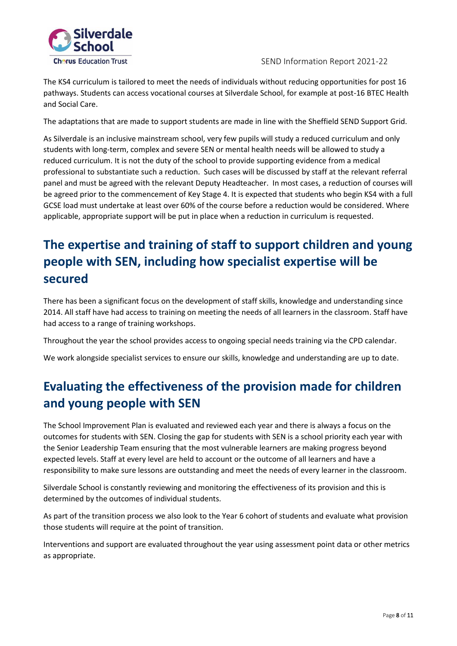

The KS4 curriculum is tailored to meet the needs of individuals without reducing opportunities for post 16 pathways. Students can access vocational courses at Silverdale School, for example at post-16 BTEC Health and Social Care.

The adaptations that are made to support students are made in line with the Sheffield SEND Support Grid.

As Silverdale is an inclusive mainstream school, very few pupils will study a reduced curriculum and only students with long-term, complex and severe SEN or mental health needs will be allowed to study a reduced curriculum. It is not the duty of the school to provide supporting evidence from a medical professional to substantiate such a reduction. Such cases will be discussed by staff at the relevant referral panel and must be agreed with the relevant Deputy Headteacher. In most cases, a reduction of courses will be agreed prior to the commencement of Key Stage 4. It is expected that students who begin KS4 with a full GCSE load must undertake at least over 60% of the course before a reduction would be considered. Where applicable, appropriate support will be put in place when a reduction in curriculum is requested.

## **The expertise and training of staff to support children and young people with SEN, including how specialist expertise will be secured**

There has been a significant focus on the development of staff skills, knowledge and understanding since 2014. All staff have had access to training on meeting the needs of all learners in the classroom. Staff have had access to a range of training workshops.

Throughout the year the school provides access to ongoing special needs training via the CPD calendar.

We work alongside specialist services to ensure our skills, knowledge and understanding are up to date.

## **Evaluating the effectiveness of the provision made for children and young people with SEN**

The School Improvement Plan is evaluated and reviewed each year and there is always a focus on the outcomes for students with SEN. Closing the gap for students with SEN is a school priority each year with the Senior Leadership Team ensuring that the most vulnerable learners are making progress beyond expected levels. Staff at every level are held to account or the outcome of all learners and have a responsibility to make sure lessons are outstanding and meet the needs of every learner in the classroom.

Silverdale School is constantly reviewing and monitoring the effectiveness of its provision and this is determined by the outcomes of individual students.

As part of the transition process we also look to the Year 6 cohort of students and evaluate what provision those students will require at the point of transition.

Interventions and support are evaluated throughout the year using assessment point data or other metrics as appropriate.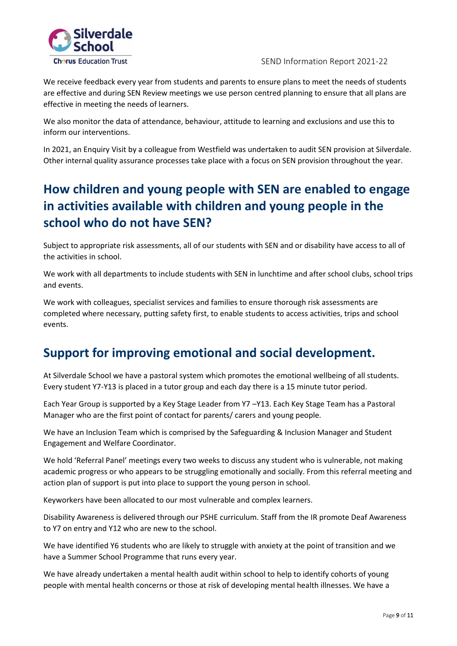

We receive feedback every year from students and parents to ensure plans to meet the needs of students are effective and during SEN Review meetings we use person centred planning to ensure that all plans are effective in meeting the needs of learners.

We also monitor the data of attendance, behaviour, attitude to learning and exclusions and use this to inform our interventions.

In 2021, an Enquiry Visit by a colleague from Westfield was undertaken to audit SEN provision at Silverdale. Other internal quality assurance processes take place with a focus on SEN provision throughout the year.

## **How children and young people with SEN are enabled to engage in activities available with children and young people in the school who do not have SEN?**

Subject to appropriate risk assessments, all of our students with SEN and or disability have access to all of the activities in school.

We work with all departments to include students with SEN in lunchtime and after school clubs, school trips and events.

We work with colleagues, specialist services and families to ensure thorough risk assessments are completed where necessary, putting safety first, to enable students to access activities, trips and school events.

### **Support for improving emotional and social development.**

At Silverdale School we have a pastoral system which promotes the emotional wellbeing of all students. Every student Y7-Y13 is placed in a tutor group and each day there is a 15 minute tutor period.

Each Year Group is supported by a Key Stage Leader from Y7 –Y13. Each Key Stage Team has a Pastoral Manager who are the first point of contact for parents/ carers and young people.

We have an Inclusion Team which is comprised by the Safeguarding & Inclusion Manager and Student Engagement and Welfare Coordinator.

We hold 'Referral Panel' meetings every two weeks to discuss any student who is vulnerable, not making academic progress or who appears to be struggling emotionally and socially. From this referral meeting and action plan of support is put into place to support the young person in school.

Keyworkers have been allocated to our most vulnerable and complex learners.

Disability Awareness is delivered through our PSHE curriculum. Staff from the IR promote Deaf Awareness to Y7 on entry and Y12 who are new to the school.

We have identified Y6 students who are likely to struggle with anxiety at the point of transition and we have a Summer School Programme that runs every year.

We have already undertaken a mental health audit within school to help to identify cohorts of young people with mental health concerns or those at risk of developing mental health illnesses. We have a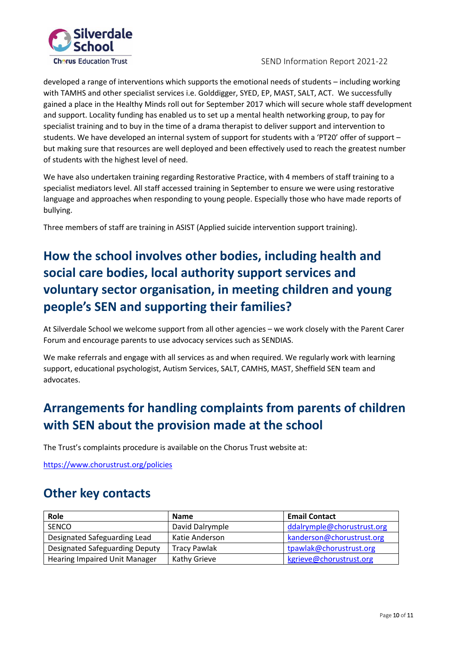

developed a range of interventions which supports the emotional needs of students – including working with TAMHS and other specialist services i.e. Golddigger, SYED, EP, MAST, SALT, ACT. We successfully gained a place in the Healthy Minds roll out for September 2017 which will secure whole staff development and support. Locality funding has enabled us to set up a mental health networking group, to pay for specialist training and to buy in the time of a drama therapist to deliver support and intervention to students. We have developed an internal system of support for students with a 'PT20' offer of support – but making sure that resources are well deployed and been effectively used to reach the greatest number of students with the highest level of need.

We have also undertaken training regarding Restorative Practice, with 4 members of staff training to a specialist mediators level. All staff accessed training in September to ensure we were using restorative language and approaches when responding to young people. Especially those who have made reports of bullying.

Three members of staff are training in ASIST (Applied suicide intervention support training).

## **How the school involves other bodies, including health and social care bodies, local authority support services and voluntary sector organisation, in meeting children and young people's SEN and supporting their families?**

At Silverdale School we welcome support from all other agencies – we work closely with the Parent Carer Forum and encourage parents to use advocacy services such as SENDIAS.

We make referrals and engage with all services as and when required. We regularly work with learning support, educational psychologist, Autism Services, SALT, CAMHS, MAST, Sheffield SEN team and advocates.

## **Arrangements for handling complaints from parents of children with SEN about the provision made at the school**

The Trust's complaints procedure is available on the Chorus Trust website at:

<https://www.chorustrust.org/policies>

### **Other key contacts**

| Role                                 | <b>Name</b>         | <b>Email Contact</b>       |
|--------------------------------------|---------------------|----------------------------|
| <b>SENCO</b>                         | David Dalrymple     | ddalrymple@chorustrust.org |
| Designated Safeguarding Lead         | Katie Anderson      | kanderson@chorustrust.org  |
| Designated Safeguarding Deputy       | <b>Tracy Pawlak</b> | tpawlak@chorustrust.org    |
| <b>Hearing Impaired Unit Manager</b> | Kathy Grieve        | kgrieve@chorustrust.org    |